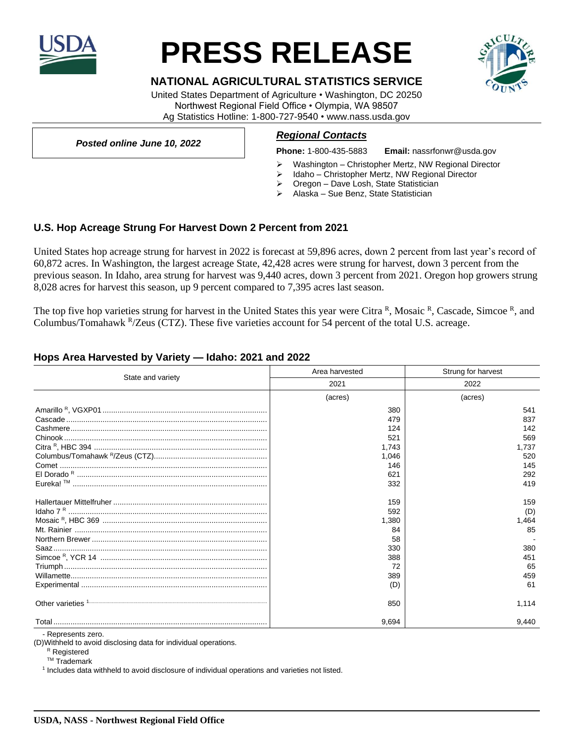

# **PRESS RELEASE**

## **NATIONAL AGRICULTURAL STATISTICS SERVICE**

United States Department of Agriculture • Washington, DC 20250 Northwest Regional Field Office • Olympia, WA 98507 Ag Statistics Hotline: 1-800-727-9540 • www.nass.usda.gov

*Posted online June 10, 2022*

#### *Regional Contacts*

**Phone:** 1-800-435-5883 **Email:** nassrfonwr@usda.gov

- Washington Christopher Mertz, NW Regional Director
- ➢ Idaho Christopher Mertz, NW Regional Director
- ➢ Oregon Dave Losh, State Statistician
- ➢ Alaska Sue Benz, State Statistician

## **U.S. Hop Acreage Strung For Harvest Down 2 Percent from 2021**

United States hop acreage strung for harvest in 2022 is forecast at 59,896 acres, down 2 percent from last year's record of 60,872 acres. In Washington, the largest acreage State, 42,428 acres were strung for harvest, down 3 percent from the previous season. In Idaho, area strung for harvest was 9,440 acres, down 3 percent from 2021. Oregon hop growers strung 8,028 acres for harvest this season, up 9 percent compared to 7,395 acres last season.

The top five hop varieties strung for harvest in the United States this year were Citra <sup>R</sup>, Mosaic <sup>R</sup>, Cascade, Simcoe <sup>R</sup>, and Columbus/Tomahawk <sup>R</sup>/Zeus (CTZ). These five varieties account for 54 percent of the total U.S. acreage.

## **Hops Area Harvested by Variety — Idaho: 2021 and 2022**

| State and variety                                                   | Area harvested | Strung for harvest |
|---------------------------------------------------------------------|----------------|--------------------|
|                                                                     | 2021           | 2022               |
|                                                                     | (acres)        | (acres)            |
|                                                                     | 380            | 541                |
|                                                                     | 479            | 837                |
|                                                                     | 124            | 142                |
|                                                                     | 521            | 569                |
|                                                                     | 1,743          | 1,737              |
|                                                                     | 1,046          | 520                |
|                                                                     | 146            | 145                |
|                                                                     | 621            | 292                |
|                                                                     | 332            | 419                |
|                                                                     | 159            | 159                |
|                                                                     | 592            | (D)                |
|                                                                     | 1,380          | 1,464              |
|                                                                     | 84             | 85                 |
|                                                                     | 58             |                    |
|                                                                     | 330            | 380                |
|                                                                     | 388            | 451                |
|                                                                     | 72             | 65                 |
|                                                                     | 389            | 459                |
|                                                                     | (D)            | 61                 |
| Other varieties <sup>1</sup> <sup>1</sup> <sup>1</sup> <sup>2</sup> | 850            | 1.114              |
|                                                                     | 9.694          | 9.440              |

- Represents zero.

(D)Withheld to avoid disclosing data for individual operations.

<sup>R</sup> Registered

TM Trademark

1 Includes data withheld to avoid disclosure of individual operations and varieties not listed.

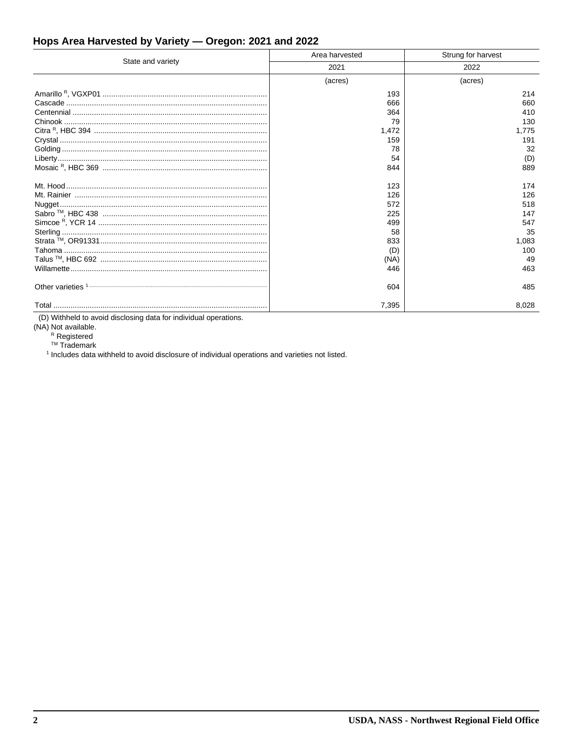# Hops Area Harvested by Variety - Oregon: 2021 and 2022

| State and variety | Area harvested | Strung for harvest |
|-------------------|----------------|--------------------|
|                   | 2021           | 2022               |
|                   | (acres)        | (acres)            |
|                   | 193            | 214                |
|                   | 666            | 660                |
|                   | 364            | 410                |
|                   | 79             | 130                |
|                   | 1,472          | 1,775              |
|                   | 159            | 191                |
|                   | 78             | 32                 |
|                   | 54             | (D)                |
|                   | 844            | 889                |
|                   | 123            | 174                |
|                   | 126            | 126                |
|                   | 572            | 518                |
|                   | 225            | 147                |
|                   | 499            | 547                |
|                   | 58             | 35                 |
|                   | 833            | 1,083              |
|                   | (D)            | 100                |
|                   | (NA)           | 49                 |
|                   | 446            | 463                |
|                   | 604            | 485                |
|                   | 7,395          | 8.028              |

(D) Withheld to avoid disclosing data for individual operations.

(NA) Not available.<br>  $R$  Registered<br>  $T M$  Trademark

<sup>1</sup> Includes data withheld to avoid disclosure of individual operations and varieties not listed.